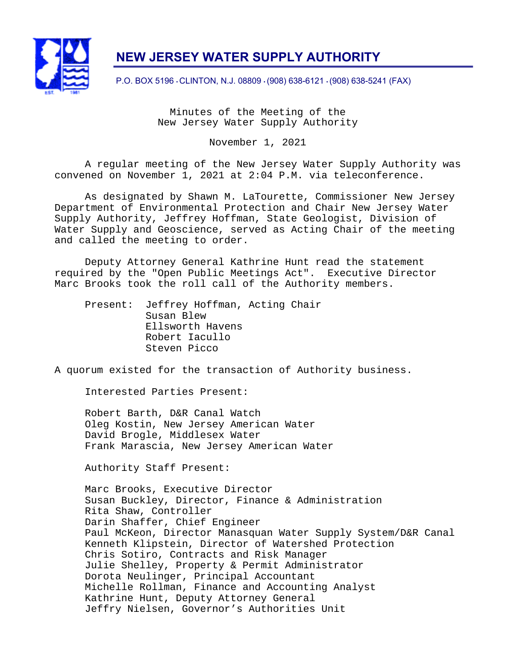

# **NEW JERSEY WATER SUPPLY AUTHORITY**

P.O. BOX 5196 • CLINTON, N.J. 08809 • (908) 638-6121 • (908) 638-5241 (FAX)

Minutes of the Meeting of the New Jersey Water Supply Authority

November 1, 2021

A regular meeting of the New Jersey Water Supply Authority was convened on November 1, 2021 at 2:04 P.M. via teleconference.

As designated by Shawn M. LaTourette, Commissioner New Jersey Department of Environmental Protection and Chair New Jersey Water Supply Authority, Jeffrey Hoffman, State Geologist, Division of Water Supply and Geoscience, served as Acting Chair of the meeting and called the meeting to order.

Deputy Attorney General Kathrine Hunt read the statement required by the "Open Public Meetings Act". Executive Director Marc Brooks took the roll call of the Authority members.

 Present: Jeffrey Hoffman, Acting Chair Susan Blew Ellsworth Havens Robert Iacullo Steven Picco

A quorum existed for the transaction of Authority business.

Interested Parties Present:

Robert Barth, D&R Canal Watch Oleg Kostin, New Jersey American Water David Brogle, Middlesex Water Frank Marascia, New Jersey American Water

Authority Staff Present:

Marc Brooks, Executive Director Susan Buckley, Director, Finance & Administration Rita Shaw, Controller Darin Shaffer, Chief Engineer Paul McKeon, Director Manasquan Water Supply System/D&R Canal Kenneth Klipstein, Director of Watershed Protection Chris Sotiro, Contracts and Risk Manager Julie Shelley, Property & Permit Administrator Dorota Neulinger, Principal Accountant Michelle Rollman, Finance and Accounting Analyst Kathrine Hunt, Deputy Attorney General Jeffry Nielsen, Governor's Authorities Unit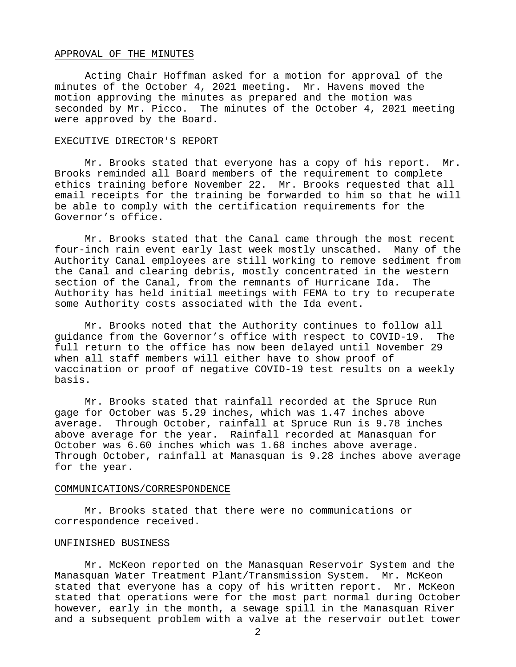## APPROVAL OF THE MINUTES

Acting Chair Hoffman asked for a motion for approval of the minutes of the October 4, 2021 meeting. Mr. Havens moved the motion approving the minutes as prepared and the motion was seconded by Mr. Picco. The minutes of the October 4, 2021 meeting were approved by the Board.

# EXECUTIVE DIRECTOR'S REPORT

Mr. Brooks stated that everyone has a copy of his report. Mr. Brooks reminded all Board members of the requirement to complete ethics training before November 22. Mr. Brooks requested that all email receipts for the training be forwarded to him so that he will be able to comply with the certification requirements for the Governor's office.

Mr. Brooks stated that the Canal came through the most recent four-inch rain event early last week mostly unscathed. Many of the Authority Canal employees are still working to remove sediment from the Canal and clearing debris, mostly concentrated in the western section of the Canal, from the remnants of Hurricane Ida. The Authority has held initial meetings with FEMA to try to recuperate some Authority costs associated with the Ida event.

Mr. Brooks noted that the Authority continues to follow all guidance from the Governor's office with respect to COVID-19. The full return to the office has now been delayed until November 29 when all staff members will either have to show proof of vaccination or proof of negative COVID-19 test results on a weekly basis.

Mr. Brooks stated that rainfall recorded at the Spruce Run gage for October was 5.29 inches, which was 1.47 inches above average. Through October, rainfall at Spruce Run is 9.78 inches above average for the year. Rainfall recorded at Manasquan for October was 6.60 inches which was 1.68 inches above average. Through October, rainfall at Manasquan is 9.28 inches above average for the year.

#### COMMUNICATIONS/CORRESPONDENCE

 Mr. Brooks stated that there were no communications or correspondence received.

# UNFINISHED BUSINESS

Mr. McKeon reported on the Manasquan Reservoir System and the Manasquan Water Treatment Plant/Transmission System. Mr. McKeon stated that everyone has a copy of his written report. Mr. McKeon stated that operations were for the most part normal during October however, early in the month, a sewage spill in the Manasquan River and a subsequent problem with a valve at the reservoir outlet tower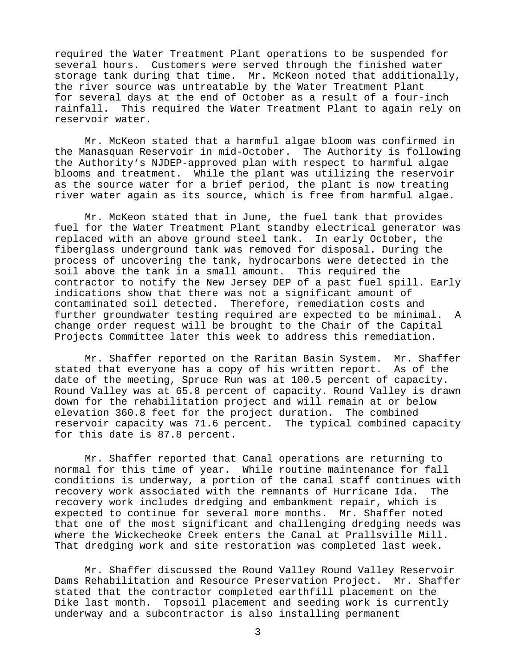required the Water Treatment Plant operations to be suspended for several hours. Customers were served through the finished water storage tank during that time. Mr. McKeon noted that additionally, the river source was untreatable by the Water Treatment Plant for several days at the end of October as a result of a four-inch rainfall. This required the Water Treatment Plant to again rely on reservoir water.

Mr. McKeon stated that a harmful algae bloom was confirmed in the Manasquan Reservoir in mid-October. The Authority is following the Authority's NJDEP-approved plan with respect to harmful algae blooms and treatment. While the plant was utilizing the reservoir as the source water for a brief period, the plant is now treating river water again as its source, which is free from harmful algae.

Mr. McKeon stated that in June, the fuel tank that provides fuel for the Water Treatment Plant standby electrical generator was replaced with an above ground steel tank. In early October, the fiberglass underground tank was removed for disposal. During the process of uncovering the tank, hydrocarbons were detected in the soil above the tank in a small amount. This required the contractor to notify the New Jersey DEP of a past fuel spill. Early indications show that there was not a significant amount of contaminated soil detected. Therefore, remediation costs and further groundwater testing required are expected to be minimal. A change order request will be brought to the Chair of the Capital Projects Committee later this week to address this remediation.

Mr. Shaffer reported on the Raritan Basin System. Mr. Shaffer stated that everyone has a copy of his written report. As of the date of the meeting, Spruce Run was at 100.5 percent of capacity. Round Valley was at 65.8 percent of capacity. Round Valley is drawn down for the rehabilitation project and will remain at or below elevation 360.8 feet for the project duration. The combined reservoir capacity was 71.6 percent. The typical combined capacity for this date is 87.8 percent.

Mr. Shaffer reported that Canal operations are returning to normal for this time of year. While routine maintenance for fall conditions is underway, a portion of the canal staff continues with recovery work associated with the remnants of Hurricane Ida. The recovery work includes dredging and embankment repair, which is expected to continue for several more months. Mr. Shaffer noted that one of the most significant and challenging dredging needs was where the Wickecheoke Creek enters the Canal at Prallsville Mill. That dredging work and site restoration was completed last week.

Mr. Shaffer discussed the Round Valley Round Valley Reservoir Dams Rehabilitation and Resource Preservation Project. Mr. Shaffer stated that the contractor completed earthfill placement on the Dike last month. Topsoil placement and seeding work is currently underway and a subcontractor is also installing permanent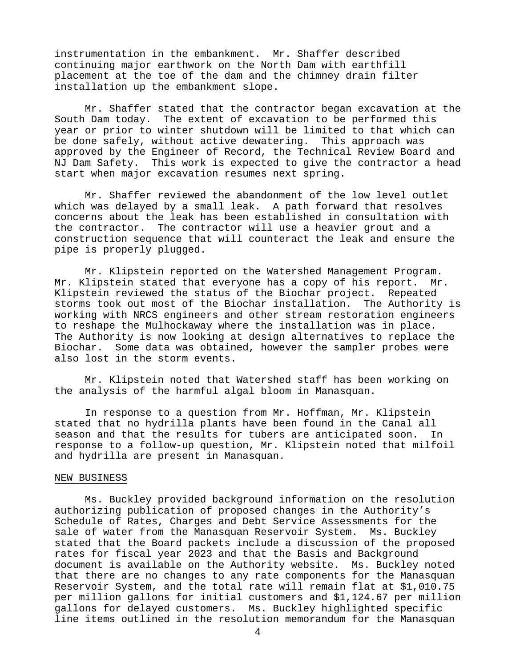instrumentation in the embankment. Mr. Shaffer described continuing major earthwork on the North Dam with earthfill placement at the toe of the dam and the chimney drain filter installation up the embankment slope.

Mr. Shaffer stated that the contractor began excavation at the South Dam today. The extent of excavation to be performed this year or prior to winter shutdown will be limited to that which can be done safely, without active dewatering. This approach was approved by the Engineer of Record, the Technical Review Board and NJ Dam Safety. This work is expected to give the contractor a head start when major excavation resumes next spring.

Mr. Shaffer reviewed the abandonment of the low level outlet which was delayed by a small leak. A path forward that resolves concerns about the leak has been established in consultation with the contractor. The contractor will use a heavier grout and a construction sequence that will counteract the leak and ensure the pipe is properly plugged.

Mr. Klipstein reported on the Watershed Management Program. Mr. Klipstein stated that everyone has a copy of his report. Mr. Klipstein reviewed the status of the Biochar project. Repeated storms took out most of the Biochar installation. The Authority is working with NRCS engineers and other stream restoration engineers to reshape the Mulhockaway where the installation was in place. The Authority is now looking at design alternatives to replace the Biochar. Some data was obtained, however the sampler probes were also lost in the storm events.

Mr. Klipstein noted that Watershed staff has been working on the analysis of the harmful algal bloom in Manasquan.

In response to a question from Mr. Hoffman, Mr. Klipstein stated that no hydrilla plants have been found in the Canal all season and that the results for tubers are anticipated soon. In response to a follow-up question, Mr. Klipstein noted that milfoil and hydrilla are present in Manasquan.

#### NEW BUSINESS

Ms. Buckley provided background information on the resolution authorizing publication of proposed changes in the Authority's Schedule of Rates, Charges and Debt Service Assessments for the sale of water from the Manasquan Reservoir System. Ms. Buckley stated that the Board packets include a discussion of the proposed rates for fiscal year 2023 and that the Basis and Background document is available on the Authority website. Ms. Buckley noted that there are no changes to any rate components for the Manasquan Reservoir System, and the total rate will remain flat at \$1,010.75 per million gallons for initial customers and \$1,124.67 per million gallons for delayed customers. Ms. Buckley highlighted specific line items outlined in the resolution memorandum for the Manasquan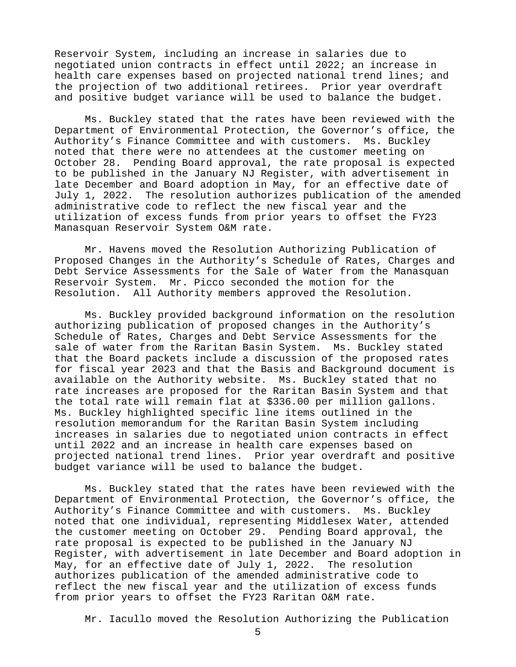Reservoir System, including an increase in salaries due to negotiated union contracts in effect until 2022; an increase in health care expenses based on projected national trend lines; and the projection of two additional retirees. Prior year overdraft and positive budget variance will be used to balance the budget.

Ms. Buckley stated that the rates have been reviewed with the Department of Environmental Protection, the Governor's office, the Authority's Finance Committee and with customers. Ms. Buckley noted that there were no attendees at the customer meeting on October 28. Pending Board approval, the rate proposal is expected to be published in the January NJ Register, with advertisement in late December and Board adoption in May, for an effective date of July 1, 2022. The resolution authorizes publication of the amended administrative code to reflect the new fiscal year and the utilization of excess funds from prior years to offset the FY23 Manasquan Reservoir System O&M rate.

Mr. Havens moved the Resolution Authorizing Publication of Proposed Changes in the Authority's Schedule of Rates, Charges and Debt Service Assessments for the Sale of Water from the Manasquan Reservoir System. Mr. Picco seconded the motion for the Resolution. All Authority members approved the Resolution.

Ms. Buckley provided background information on the resolution authorizing publication of proposed changes in the Authority's Schedule of Rates, Charges and Debt Service Assessments for the sale of water from the Raritan Basin System. Ms. Buckley stated that the Board packets include a discussion of the proposed rates for fiscal year 2023 and that the Basis and Background document is available on the Authority website. Ms. Buckley stated that no rate increases are proposed for the Raritan Basin System and that the total rate will remain flat at \$336.00 per million gallons. Ms. Buckley highlighted specific line items outlined in the resolution memorandum for the Raritan Basin System including increases in salaries due to negotiated union contracts in effect until 2022 and an increase in health care expenses based on projected national trend lines. Prior year overdraft and positive budget variance will be used to balance the budget.

Ms. Buckley stated that the rates have been reviewed with the Department of Environmental Protection, the Governor's office, the Authority's Finance Committee and with customers. Ms. Buckley noted that one individual, representing Middlesex Water, attended the customer meeting on October 29. Pending Board approval, the rate proposal is expected to be published in the January NJ Register, with advertisement in late December and Board adoption in May, for an effective date of July 1, 2022. The resolution authorizes publication of the amended administrative code to reflect the new fiscal year and the utilization of excess funds from prior years to offset the FY23 Raritan O&M rate.

Mr. Iacullo moved the Resolution Authorizing the Publication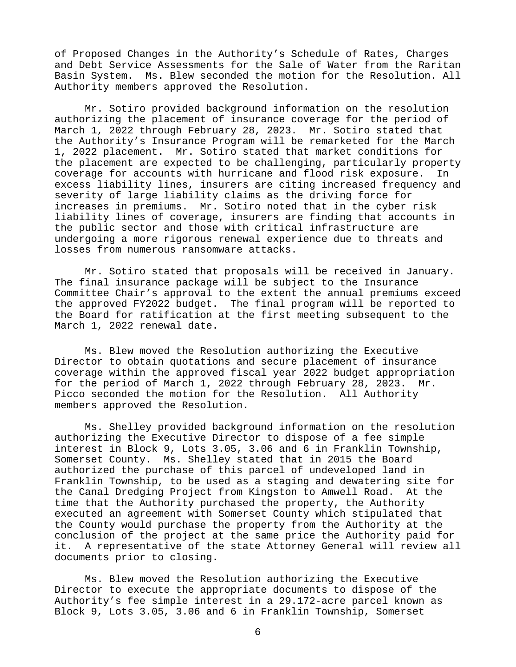of Proposed Changes in the Authority's Schedule of Rates, Charges and Debt Service Assessments for the Sale of Water from the Raritan Basin System. Ms. Blew seconded the motion for the Resolution. All Authority members approved the Resolution.

Mr. Sotiro provided background information on the resolution authorizing the placement of insurance coverage for the period of March 1, 2022 through February 28, 2023. Mr. Sotiro stated that the Authority's Insurance Program will be remarketed for the March 1, 2022 placement. Mr. Sotiro stated that market conditions for the placement are expected to be challenging, particularly property coverage for accounts with hurricane and flood risk exposure. In excess liability lines, insurers are citing increased frequency and severity of large liability claims as the driving force for increases in premiums. Mr. Sotiro noted that in the cyber risk liability lines of coverage, insurers are finding that accounts in the public sector and those with critical infrastructure are undergoing a more rigorous renewal experience due to threats and losses from numerous ransomware attacks.

Mr. Sotiro stated that proposals will be received in January. The final insurance package will be subject to the Insurance Committee Chair's approval to the extent the annual premiums exceed the approved FY2022 budget. The final program will be reported to the Board for ratification at the first meeting subsequent to the March 1, 2022 renewal date.

Ms. Blew moved the Resolution authorizing the Executive Director to obtain quotations and secure placement of insurance coverage within the approved fiscal year 2022 budget appropriation for the period of March 1, 2022 through February 28, 2023. Mr. Picco seconded the motion for the Resolution. All Authority members approved the Resolution.

Ms. Shelley provided background information on the resolution authorizing the Executive Director to dispose of a fee simple interest in Block 9, Lots 3.05, 3.06 and 6 in Franklin Township, Somerset County. Ms. Shelley stated that in 2015 the Board authorized the purchase of this parcel of undeveloped land in Franklin Township, to be used as a staging and dewatering site for the Canal Dredging Project from Kingston to Amwell Road. At the time that the Authority purchased the property, the Authority executed an agreement with Somerset County which stipulated that the County would purchase the property from the Authority at the conclusion of the project at the same price the Authority paid for it. A representative of the state Attorney General will review all documents prior to closing.

Ms. Blew moved the Resolution authorizing the Executive Director to execute the appropriate documents to dispose of the Authority's fee simple interest in a 29.172-acre parcel known as Block 9, Lots 3.05, 3.06 and 6 in Franklin Township, Somerset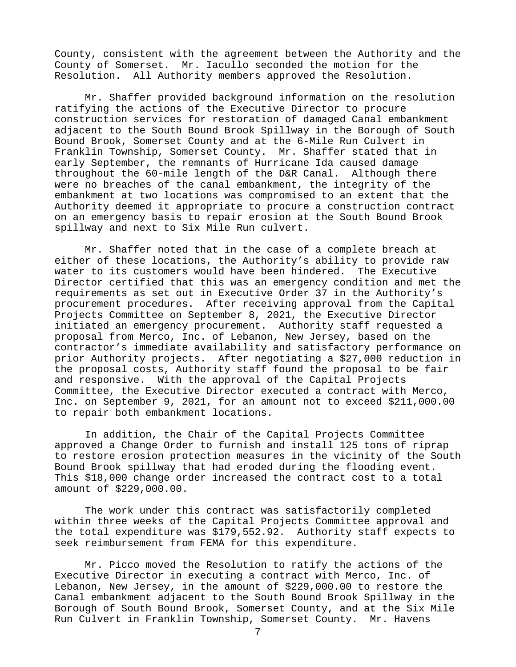County, consistent with the agreement between the Authority and the County of Somerset. Mr. Iacullo seconded the motion for the Resolution. All Authority members approved the Resolution.

Mr. Shaffer provided background information on the resolution ratifying the actions of the Executive Director to procure construction services for restoration of damaged Canal embankment adjacent to the South Bound Brook Spillway in the Borough of South Bound Brook, Somerset County and at the 6-Mile Run Culvert in Franklin Township, Somerset County. Mr. Shaffer stated that in early September, the remnants of Hurricane Ida caused damage throughout the 60-mile length of the D&R Canal. Although there were no breaches of the canal embankment, the integrity of the embankment at two locations was compromised to an extent that the Authority deemed it appropriate to procure a construction contract on an emergency basis to repair erosion at the South Bound Brook spillway and next to Six Mile Run culvert.

Mr. Shaffer noted that in the case of a complete breach at either of these locations, the Authority's ability to provide raw water to its customers would have been hindered. The Executive Director certified that this was an emergency condition and met the requirements as set out in Executive Order 37 in the Authority's procurement procedures. After receiving approval from the Capital Projects Committee on September 8, 2021, the Executive Director initiated an emergency procurement. Authority staff requested a proposal from Merco, Inc. of Lebanon, New Jersey, based on the contractor's immediate availability and satisfactory performance on prior Authority projects. After negotiating a \$27,000 reduction in the proposal costs, Authority staff found the proposal to be fair and responsive. With the approval of the Capital Projects Committee, the Executive Director executed a contract with Merco, Inc. on September 9, 2021, for an amount not to exceed \$211,000.00 to repair both embankment locations.

In addition, the Chair of the Capital Projects Committee approved a Change Order to furnish and install 125 tons of riprap to restore erosion protection measures in the vicinity of the South Bound Brook spillway that had eroded during the flooding event. This \$18,000 change order increased the contract cost to a total amount of \$229,000.00.

The work under this contract was satisfactorily completed within three weeks of the Capital Projects Committee approval and the total expenditure was \$179,552.92. Authority staff expects to seek reimbursement from FEMA for this expenditure.

Mr. Picco moved the Resolution to ratify the actions of the Executive Director in executing a contract with Merco, Inc. of Lebanon, New Jersey, in the amount of \$229,000.00 to restore the Canal embankment adjacent to the South Bound Brook Spillway in the Borough of South Bound Brook, Somerset County, and at the Six Mile Run Culvert in Franklin Township, Somerset County. Mr. Havens